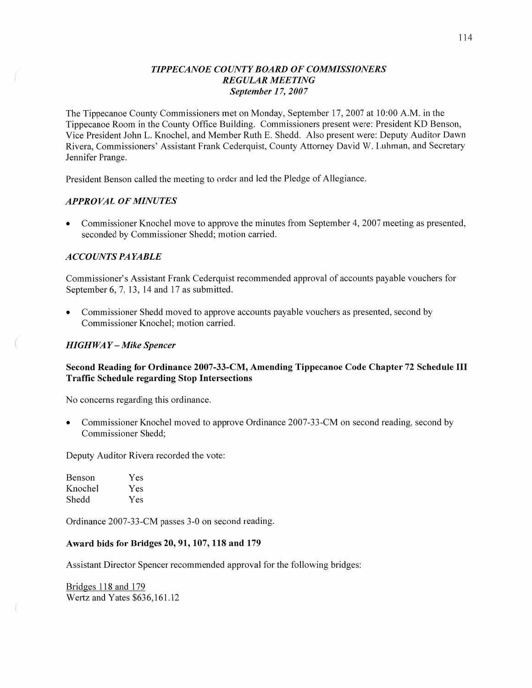## *TIPPECANOE* C0 *UNTY BOARD* OF *COMMISSIONERS REGULAR MEETING September 1* 7, *2007*

The Tippecanoe County Commissioners met on Monday, September 17, 2007 at **10:00** AM. in the Tippecanoe Room in the County Office Building. Commissioners present were: President KD Benson, Vice President John L. Knochel, and Member Ruth E. Shedd. Also present were: Deputy Auditor Dawn Rivera, Commissioners' Assistant Frank Cederqu'ist, County Attorney David W. Luhman, and Secretary Jennifer Prange.

President Benson called the meeting to order and led the Pledge of Allegiance.

#### *APPROVAL* OF *MINUTES*

**0** Commissioner Knochel move to approve the minutes from September 4, 2007 meeting as presented, seconded by Commissioner Shedd; motion carried.

#### *A* CCO UN *T S* PA *YABLE*

Commissioner's Assistant Frank Cederquist recommended approval of accounts payable vouchers for September 6, 7, 13, 14 and 17 as submitted.

**0** Commissioner Shedd moved to approve accounts payable vouchers as presented, second by Commissioner Knochel; motion carried.

### *HIGH* WA *Y* —- *Mike Spencer*

## **Second Reading** for Ordinance **2007-33-CM,** Amending **Tippecanoe** Code **Chapter** 72 **Schedule** III **Traffic** Schedule **regarding Stop Intersections**

No concerns regarding this ordinance.

**0** Commissioner Knochel moved to approve Ordinance 2007—33-CM on second reading, second by Commissioner Shedd;

Deputy Auditor Rivera recorded the vote:

| Benson  | Yes |
|---------|-----|
| Knochel | Yes |
| Shedd   | Yes |

Ordinance 2007—33-CM passes 3-0 on second reading.

#### Award **bids** for **Bridges** 20, 91, **107,** 118 and 179

Assistant Director Spencer recommended approval for the following bridges:

Bridges 118 and 179 Wertz and Yates \$636,161.12

 $($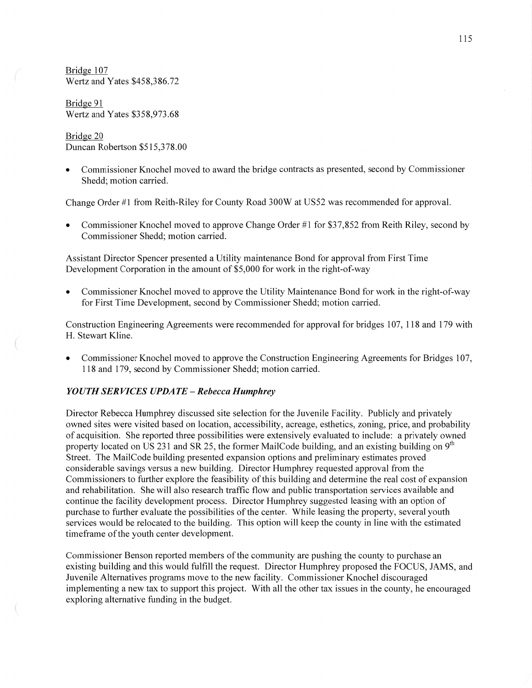Bridge 107 Wertz and Yates \$458,386.72

Bridge 91 Wertz and Yates \$358,973.68

## Bridge 20 Duncan Robertson \$5 **1** 5,3 78.00

**0** Commissioner Knochel moved to award the bridge contracts as presented, second by Commissioner Shedd; motion carried.

Change Order #1 from Reith-Riley for County Road 300W at US52 was recommended for approval.

Commissioner Knochel moved to approve Change Order #1 for \$37,852 from Reith Riley, second by Commissioner Shedd; motion carried.

Assistant Director Spencer presented a Utility maintenance Bond for approval from First Time Development Corporation in the amount of \$5,000 for work in the right-of-way

Commissioner Knochel moved to approve the Utility Maintenance Bond for work in the right-of-way for First Time Development, second by Commissioner Shedd; motion carried.

Construction Engineering Agreements were recommended for approval for bridges 107, 118 and 179 with H. Stewart Kline.

**0** Commissioner Knochel moved to approve the Construction Engineering Agreements for Bridges 107, 118 and 179, second by Commissioner Shedd; motion carried.

#### *YOUTH SERVICES UPDATE - Rebecca Humphrey*

Director Rebecca Humphrey discussed site selection for the Juvenile Facility. Publicly and privately owned sites were visited based on location, accessibility, acreage, esthetics, zoning, price, and probability of acquisition. She reported three possibilities were extensively evaluated to include: <sup>a</sup>privately owned property located on US 231 and SR 25, the former MailCode building, and an existing building on  $9<sup>th</sup>$ Street. The MailCode building presented expansion options and preliminary estimates proved considerable savings versus a new building. Director Humphrey requested approval from the Commissioners to further explore the feasibility of this building and determine the real cost of expansion and rehabilitation. She will also research traffic flow and public transportation services available and continue the facility development process. Director Humphrey suggested leasing with an option of purchase to further evaluate the possibilities of the center. While leasing the property, several youth services would be relocated to the building. **This** option will keep the county in line with the estimated timeframe of the youth center development.

Commissioner Benson reported members of the community are pushing the county to purchase an existing building and this would fulfill the request. Director Humphrey proposed the FOCUS, JAMS, and Juvenile Alternatives programs move to the new facility. Commissioner Knochel discouraged implementing a new tax to support this project. With all the other tax issues in the county, he encouraged exploring alternative funding in the budget.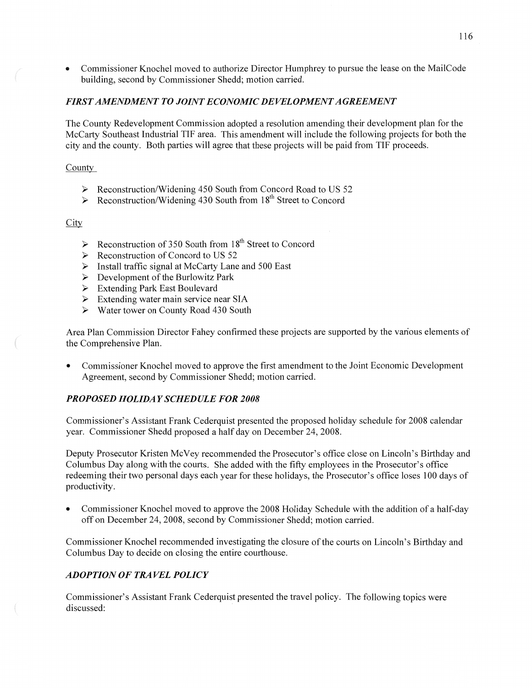**0** Commissioner Knochel moved to authorize Director Humphrey to pursue the lease on the MailCode building, second by Commissioner Shedd; motion carried.

## **FIRST AMENDMENT TO JOINT ECONOMIC DEVELOPMENT AGREEMENT**

The County Redevelopment Commission adopted **a** resolution amending their development plan for the McCarty Southeast Industrial TIF area. This amendment will include the following projects for both the city and the county. Both parties will agree that these projects will be paid from TIF proceeds.

County

- > Reconstruction/Widening 450 South from Concord Road to US 52
- > Reconstruction/Widening 430 South from 18<sup>th</sup> Street to Concord

*E* 

- Reconstruction of 350 South from **18th** Street to Concord VVVVVVV
- $\triangleright$  Reconstruction of Concord to US 52
- $\triangleright$  Install traffic signal at McCarty Lane and 500 East
- $\triangleright$  Development of the Burlowitz Park
- Extending Park East Boulevard
- $\triangleright$  Extending water main service near SIA
- $\blacktriangleright$ Water tower on County Road 430 South

Area Plan Commission Director Fahey confirmed these projects are supported by the various elements of the Comprehensive Plan.

**0** Commissioner Knochel moved to approve the first amendment to the Joint Economic Development Agreement, second by Commissioner Shedd; motion carried.

## **PROPOSED HOLIDAY SCHEDULE FOR 2008**

Commissioner's Assistant Frank Cederquist presented the proposed holiday schedule for 2008 calendar year. Commissioner Shedd proposed a half day on December 24, 2008.

Deputy Prosecutor Kristen McVey recommended the Prosecutor's office close on Lincoln's Birthday and Columbus Day along with the courts. She added with the fifty employees in the Prosecutor's office redeeming their two personal days each year for these holidays, the Prosecutor's office loses 100 days of productivity.

**0** Commissioner Knochel moved to approve the 2008 Holiday Schedule with the addition of a half-day off on December 24, 2008, second by Commissioner Shedd; motion carried.

Commissioner Knochel recommended investigating the closure of the courts on Lincoln's Birthday and Columbus Day to decide on closing the entire coutthouse.

## *ADOPTION* OF *T* RA VEL *POLICY*

Commissioner's Assistant Frank Cederquist presented the travel policy. The following topics were discussed: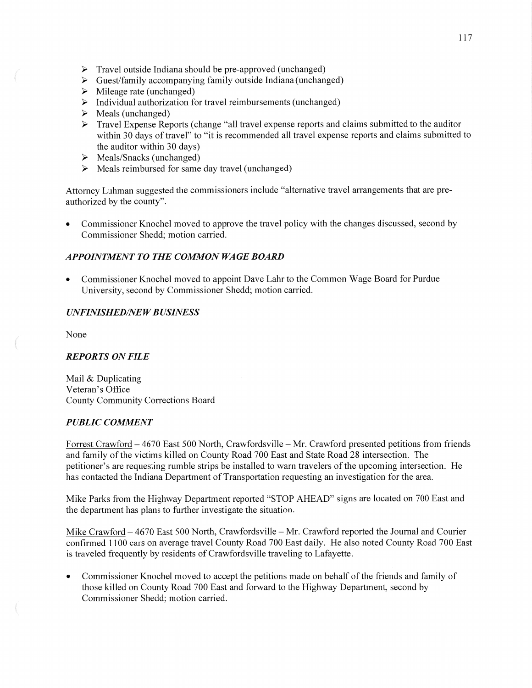- $\triangleright$  Travel outside Indiana should be pre-approved (unchanged)
- $\triangleright$  Guest/family accompanying family outside Indiana (unchanged)
- $\triangleright$  Mileage rate (unchanged) VVVVVV
- $\triangleright$  Individual authorization for travel reimbursements (unchanged)
- $\triangleright$  Meals (unchanged)
- Travel Expense Reports (change "all travel expense reports and claims submitted to the auditor  $\blacktriangleright$ within 30 days of travel" to "it is recommended all travel expense reports and claims submitted to the auditor Within 30 days)
- $\triangleright$  Meals/Snacks (unchanged)
- $\triangleright$  Meals reimbursed for same day travel (unchanged)

Attorney Luhman suggested the commissioners include "alternative travel arrangements that are preauthorized by the county".

**0** Commissioner Knochel moved to approve the travel policy with the changes discussed, second by Commissioner Shedd; motion carried.

## **APPOINTMENT TO THE COMMON WAGE BOARD**

**0** Commissioner Knochel moved to appoint Dave Lahr to the Common Wage Board for Purdue University, second by Commissioner Shedd; motion carried.

## *UNFINISHED/NEW BUSINESS*

None

## *REPORTS* ON *FILE*

Mail & Duplicating Veteran's Office County Community Corrections Board

## *PUBLIC COMMENT*

Forrest Crawford **—** 4670 East 500 North, Crawfordsville — Mr. Crawford presented petitions from friends and family of the victims killed on County Road 700 East and State Road 28 intersection. The petitioner's are requesting rumble strips be installed to warn travelers of the upcoming intersection. He has contacted the Indiana Department of Transportation requesting an investigation for the area.

Mike Parks from the Highway Department reported "STOP AHEAD" signs are located on 700 East and the department has plans to further investigate the situation.

Mike Crawford — 4670 East 500 North, Crawfordsville — Mr. Crawford reported the Journal and Courier confirmed 1100 cars on average travel County Road 700 East daily. He also noted County Road 700 East is traveled frequently by residents of Crawfordsville traveling to Lafayette.

**0** Commissioner Knochel moved to accept the petitions made on behalf of the friends and family of those killed on County Road 700 East and forward to the Highway Department, second by Commissioner Shedd; motion carried.